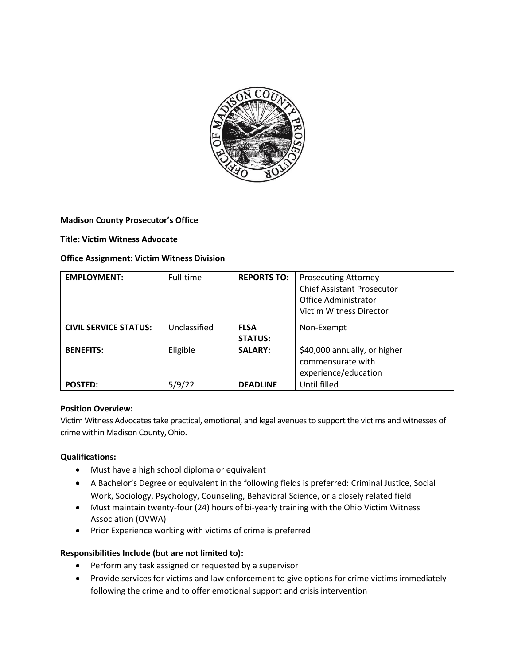

### **Madison County Prosecutor's Office**

### **Title: Victim Witness Advocate**

### **Office Assignment: Victim Witness Division**

| <b>EMPLOYMENT:</b>           | Full-time    | <b>REPORTS TO:</b>            | <b>Prosecuting Attorney</b><br><b>Chief Assistant Prosecutor</b><br>Office Administrator<br><b>Victim Witness Director</b> |
|------------------------------|--------------|-------------------------------|----------------------------------------------------------------------------------------------------------------------------|
| <b>CIVIL SERVICE STATUS:</b> | Unclassified | <b>FLSA</b><br><b>STATUS:</b> | Non-Exempt                                                                                                                 |
| <b>BENEFITS:</b>             | Eligible     | <b>SALARY:</b>                | \$40,000 annually, or higher<br>commensurate with<br>experience/education                                                  |
| <b>POSTED:</b>               | 5/9/22       | <b>DEADLINE</b>               | Until filled                                                                                                               |

### **Position Overview:**

Victim Witness Advocates take practical, emotional, and legal avenues to support the victims and witnesses of crime within Madison County, Ohio.

### **Qualifications:**

- Must have a high school diploma or equivalent
- A Bachelor's Degree or equivalent in the following fields is preferred: Criminal Justice, Social Work, Sociology, Psychology, Counseling, Behavioral Science, or a closely related field
- Must maintain twenty-four (24) hours of bi-yearly training with the Ohio Victim Witness Association (OVWA)
- Prior Experience working with victims of crime is preferred

# **Responsibilities Include (but are not limited to):**

- Perform any task assigned or requested by a supervisor
- Provide services for victims and law enforcement to give options for crime victims immediately following the crime and to offer emotional support and crisis intervention